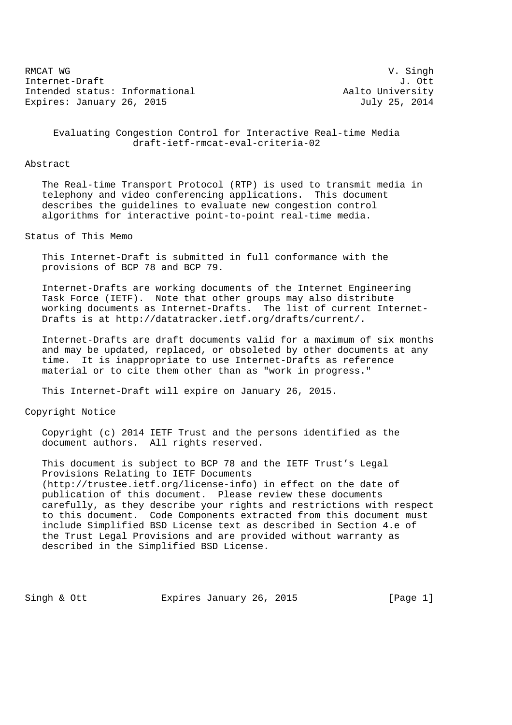RMCAT WG SING CONTROLLER SERVICE SERVICE SUPERIOR CONTROLLER SUPERIOR V. SING N Internet-Draft J. Ott Intended status: Informational and Aalto University Expires: January 26, 2015 **July 25, 2014** 

 Evaluating Congestion Control for Interactive Real-time Media draft-ietf-rmcat-eval-criteria-02

## Abstract

 The Real-time Transport Protocol (RTP) is used to transmit media in telephony and video conferencing applications. This document describes the guidelines to evaluate new congestion control algorithms for interactive point-to-point real-time media.

Status of This Memo

 This Internet-Draft is submitted in full conformance with the provisions of BCP 78 and BCP 79.

 Internet-Drafts are working documents of the Internet Engineering Task Force (IETF). Note that other groups may also distribute working documents as Internet-Drafts. The list of current Internet- Drafts is at http://datatracker.ietf.org/drafts/current/.

 Internet-Drafts are draft documents valid for a maximum of six months and may be updated, replaced, or obsoleted by other documents at any time. It is inappropriate to use Internet-Drafts as reference material or to cite them other than as "work in progress."

This Internet-Draft will expire on January 26, 2015.

Copyright Notice

 Copyright (c) 2014 IETF Trust and the persons identified as the document authors. All rights reserved.

 This document is subject to BCP 78 and the IETF Trust's Legal Provisions Relating to IETF Documents (http://trustee.ietf.org/license-info) in effect on the date of publication of this document. Please review these documents carefully, as they describe your rights and restrictions with respect to this document. Code Components extracted from this document must include Simplified BSD License text as described in Section 4.e of the Trust Legal Provisions and are provided without warranty as described in the Simplified BSD License.

Singh & Ott **Expires January 26, 2015** [Page 1]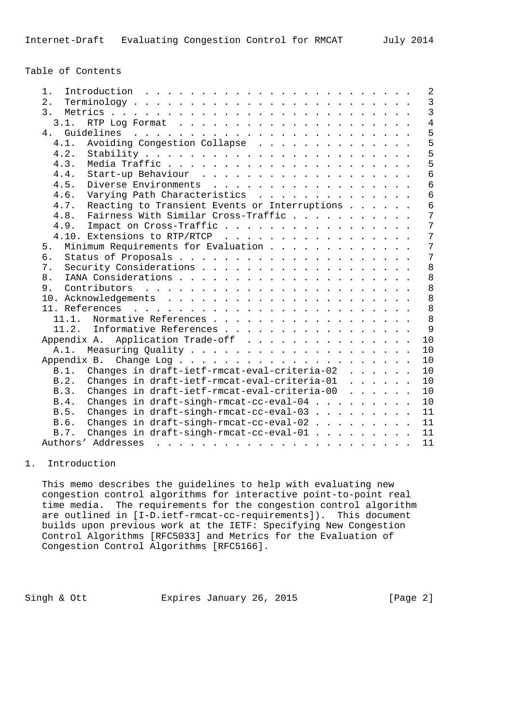Table of Contents

| Introduction $\ldots \ldots \ldots \ldots \ldots \ldots \ldots \ldots$<br>$1$ .                            |  |  |  | $\overline{2}$  |
|------------------------------------------------------------------------------------------------------------|--|--|--|-----------------|
| $2$ .                                                                                                      |  |  |  | $\mathbf{3}$    |
| 3.                                                                                                         |  |  |  | $\overline{3}$  |
| 3.1.                                                                                                       |  |  |  | $\overline{4}$  |
| 4.                                                                                                         |  |  |  | 5               |
| Avoiding Congestion Collapse<br>4.1.                                                                       |  |  |  | $\overline{5}$  |
| 4.2.                                                                                                       |  |  |  | $\overline{5}$  |
| 4.3.                                                                                                       |  |  |  | 5               |
| 4.4.                                                                                                       |  |  |  | $\overline{6}$  |
| 4.5.<br>Diverse Environments                                                                               |  |  |  | $6\overline{6}$ |
| Varying Path Characteristics<br>4.6.                                                                       |  |  |  | $\overline{6}$  |
| Reacting to Transient Events or Interruptions<br>4.7.                                                      |  |  |  | $\overline{6}$  |
| Fairness With Similar Cross-Traffic<br>4.8.                                                                |  |  |  | $\overline{7}$  |
| 4.9.<br>Impact on Cross-Traffic                                                                            |  |  |  | 7               |
| 4.10. Extensions to RTP/RTCP                                                                               |  |  |  | 7               |
| Minimum Requirements for Evaluation<br>5.                                                                  |  |  |  | 7               |
| 6.                                                                                                         |  |  |  | 7               |
| 7.                                                                                                         |  |  |  | 8               |
| 8.                                                                                                         |  |  |  | 8               |
| 9.                                                                                                         |  |  |  | 8               |
|                                                                                                            |  |  |  | 8               |
|                                                                                                            |  |  |  | 8               |
|                                                                                                            |  |  |  | 8               |
| 11.1. Normative References                                                                                 |  |  |  | 9               |
| 11.2. Informative References                                                                               |  |  |  |                 |
| Appendix A. Application Trade-off                                                                          |  |  |  | 10              |
| A.1.                                                                                                       |  |  |  | 10              |
| Appendix B.<br>Change Log $\ldots$ $\ldots$ $\ldots$ $\ldots$ $\ldots$ $\ldots$ $\ldots$ $\ldots$ $\ldots$ |  |  |  | 10              |
| Changes in draft-ietf-rmcat-eval-criteria-02<br>B.1.                                                       |  |  |  | 10              |
| Changes in draft-ietf-rmcat-eval-criteria-01<br>B.2.                                                       |  |  |  | 10              |
| Changes in draft-ietf-rmcat-eval-criteria-00 $\ldots$<br>B.3.                                              |  |  |  | 10              |
| Changes in draft-singh-rmcat-cc-eval-04<br>B.4.                                                            |  |  |  | 10              |
| Changes in draft-singh-rmcat-cc-eval-03<br>B.5.                                                            |  |  |  | 11              |
| Changes in draft-singh-rmcat-cc-eval-02<br>B.6.                                                            |  |  |  | 11              |
| Changes in draft-singh-rmcat-cc-eval-01<br>B.7.                                                            |  |  |  | 11              |
|                                                                                                            |  |  |  | 11              |

#### 1. Introduction

 This memo describes the guidelines to help with evaluating new congestion control algorithms for interactive point-to-point real time media. The requirements for the congestion control algorithm are outlined in [I-D.ietf-rmcat-cc-requirements]). This document builds upon previous work at the IETF: Specifying New Congestion Control Algorithms [RFC5033] and Metrics for the Evaluation of Congestion Control Algorithms [RFC5166].

Singh & Ott **Expires January 26, 2015** [Page 2]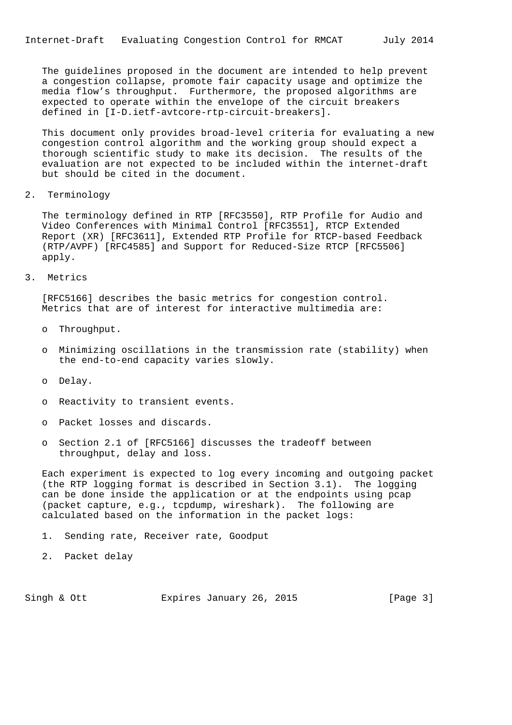The guidelines proposed in the document are intended to help prevent a congestion collapse, promote fair capacity usage and optimize the media flow's throughput. Furthermore, the proposed algorithms are expected to operate within the envelope of the circuit breakers defined in [I-D.ietf-avtcore-rtp-circuit-breakers].

 This document only provides broad-level criteria for evaluating a new congestion control algorithm and the working group should expect a thorough scientific study to make its decision. The results of the evaluation are not expected to be included within the internet-draft but should be cited in the document.

2. Terminology

 The terminology defined in RTP [RFC3550], RTP Profile for Audio and Video Conferences with Minimal Control [RFC3551], RTCP Extended Report (XR) [RFC3611], Extended RTP Profile for RTCP-based Feedback (RTP/AVPF) [RFC4585] and Support for Reduced-Size RTCP [RFC5506] apply.

3. Metrics

 [RFC5166] describes the basic metrics for congestion control. Metrics that are of interest for interactive multimedia are:

- o Throughput.
- o Minimizing oscillations in the transmission rate (stability) when the end-to-end capacity varies slowly.
- o Delay.
- o Reactivity to transient events.
- o Packet losses and discards.
- o Section 2.1 of [RFC5166] discusses the tradeoff between throughput, delay and loss.

 Each experiment is expected to log every incoming and outgoing packet (the RTP logging format is described in Section 3.1). The logging can be done inside the application or at the endpoints using pcap (packet capture, e.g., tcpdump, wireshark). The following are calculated based on the information in the packet logs:

- 1. Sending rate, Receiver rate, Goodput
- 2. Packet delay

Singh & Ott **Expires January 26, 2015** [Page 3]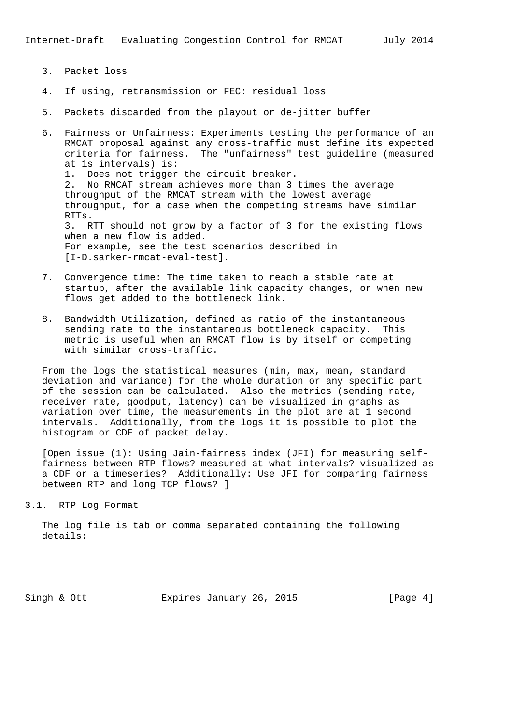- 3. Packet loss
- 4. If using, retransmission or FEC: residual loss
- 5. Packets discarded from the playout or de-jitter buffer
- 6. Fairness or Unfairness: Experiments testing the performance of an RMCAT proposal against any cross-traffic must define its expected criteria for fairness. The "unfairness" test guideline (measured at 1s intervals) is: 1. Does not trigger the circuit breaker. 2. No RMCAT stream achieves more than 3 times the average throughput of the RMCAT stream with the lowest average throughput, for a case when the competing streams have similar RTTs. 3. RTT should not grow by a factor of 3 for the existing flows when a new flow is added. For example, see the test scenarios described in [I-D.sarker-rmcat-eval-test].
- 7. Convergence time: The time taken to reach a stable rate at startup, after the available link capacity changes, or when new flows get added to the bottleneck link.
- 8. Bandwidth Utilization, defined as ratio of the instantaneous sending rate to the instantaneous bottleneck capacity. This metric is useful when an RMCAT flow is by itself or competing with similar cross-traffic.

 From the logs the statistical measures (min, max, mean, standard deviation and variance) for the whole duration or any specific part of the session can be calculated. Also the metrics (sending rate, receiver rate, goodput, latency) can be visualized in graphs as variation over time, the measurements in the plot are at 1 second intervals. Additionally, from the logs it is possible to plot the histogram or CDF of packet delay.

 [Open issue (1): Using Jain-fairness index (JFI) for measuring self fairness between RTP flows? measured at what intervals? visualized as a CDF or a timeseries? Additionally: Use JFI for comparing fairness between RTP and long TCP flows? ]

3.1. RTP Log Format

 The log file is tab or comma separated containing the following details:

Singh & Ott **Expires January 26, 2015** [Page 4]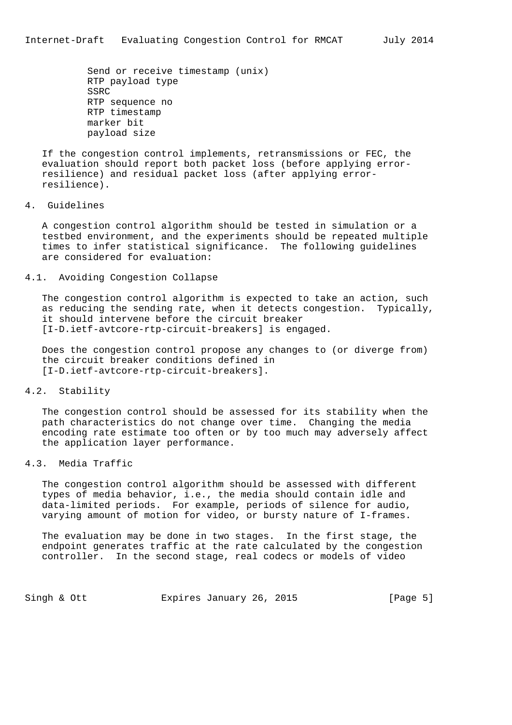Send or receive timestamp (unix) RTP payload type SSRC RTP sequence no RTP timestamp marker bit payload size

 If the congestion control implements, retransmissions or FEC, the evaluation should report both packet loss (before applying error resilience) and residual packet loss (after applying error resilience).

4. Guidelines

 A congestion control algorithm should be tested in simulation or a testbed environment, and the experiments should be repeated multiple times to infer statistical significance. The following guidelines are considered for evaluation:

## 4.1. Avoiding Congestion Collapse

 The congestion control algorithm is expected to take an action, such as reducing the sending rate, when it detects congestion. Typically, it should intervene before the circuit breaker [I-D.ietf-avtcore-rtp-circuit-breakers] is engaged.

 Does the congestion control propose any changes to (or diverge from) the circuit breaker conditions defined in [I-D.ietf-avtcore-rtp-circuit-breakers].

# 4.2. Stability

 The congestion control should be assessed for its stability when the path characteristics do not change over time. Changing the media encoding rate estimate too often or by too much may adversely affect the application layer performance.

# 4.3. Media Traffic

 The congestion control algorithm should be assessed with different types of media behavior, i.e., the media should contain idle and data-limited periods. For example, periods of silence for audio, varying amount of motion for video, or bursty nature of I-frames.

 The evaluation may be done in two stages. In the first stage, the endpoint generates traffic at the rate calculated by the congestion controller. In the second stage, real codecs or models of video

Singh & Ott **Expires January 26, 2015** [Page 5]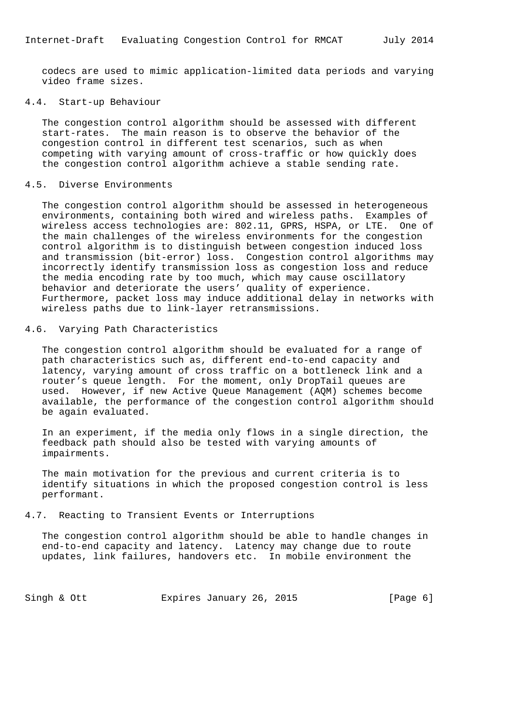codecs are used to mimic application-limited data periods and varying video frame sizes.

### 4.4. Start-up Behaviour

 The congestion control algorithm should be assessed with different start-rates. The main reason is to observe the behavior of the congestion control in different test scenarios, such as when competing with varying amount of cross-traffic or how quickly does the congestion control algorithm achieve a stable sending rate.

## 4.5. Diverse Environments

 The congestion control algorithm should be assessed in heterogeneous environments, containing both wired and wireless paths. Examples of wireless access technologies are: 802.11, GPRS, HSPA, or LTE. One of the main challenges of the wireless environments for the congestion control algorithm is to distinguish between congestion induced loss and transmission (bit-error) loss. Congestion control algorithms may incorrectly identify transmission loss as congestion loss and reduce the media encoding rate by too much, which may cause oscillatory behavior and deteriorate the users' quality of experience. Furthermore, packet loss may induce additional delay in networks with wireless paths due to link-layer retransmissions.

#### 4.6. Varying Path Characteristics

 The congestion control algorithm should be evaluated for a range of path characteristics such as, different end-to-end capacity and latency, varying amount of cross traffic on a bottleneck link and a router's queue length. For the moment, only DropTail queues are used. However, if new Active Queue Management (AQM) schemes become available, the performance of the congestion control algorithm should be again evaluated.

 In an experiment, if the media only flows in a single direction, the feedback path should also be tested with varying amounts of impairments.

 The main motivation for the previous and current criteria is to identify situations in which the proposed congestion control is less performant.

#### 4.7. Reacting to Transient Events or Interruptions

 The congestion control algorithm should be able to handle changes in end-to-end capacity and latency. Latency may change due to route updates, link failures, handovers etc. In mobile environment the

Singh & Ott **Expires January 26, 2015** [Page 6]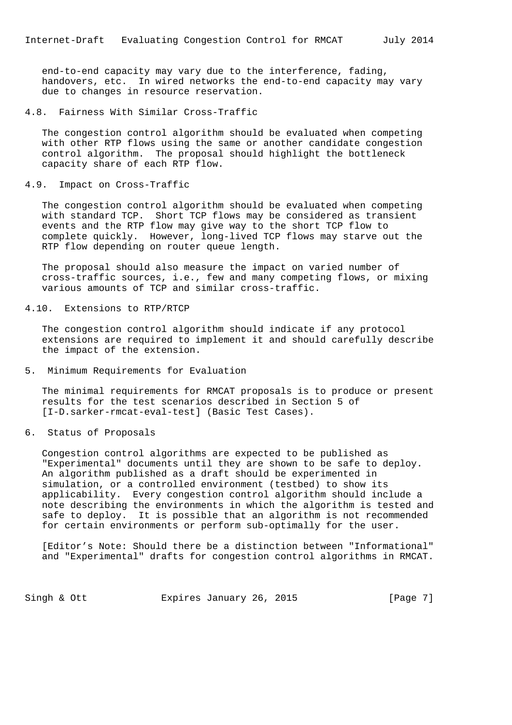end-to-end capacity may vary due to the interference, fading, handovers, etc. In wired networks the end-to-end capacity may vary due to changes in resource reservation.

4.8. Fairness With Similar Cross-Traffic

 The congestion control algorithm should be evaluated when competing with other RTP flows using the same or another candidate congestion control algorithm. The proposal should highlight the bottleneck capacity share of each RTP flow.

4.9. Impact on Cross-Traffic

 The congestion control algorithm should be evaluated when competing with standard TCP. Short TCP flows may be considered as transient events and the RTP flow may give way to the short TCP flow to complete quickly. However, long-lived TCP flows may starve out the RTP flow depending on router queue length.

 The proposal should also measure the impact on varied number of cross-traffic sources, i.e., few and many competing flows, or mixing various amounts of TCP and similar cross-traffic.

4.10. Extensions to RTP/RTCP

 The congestion control algorithm should indicate if any protocol extensions are required to implement it and should carefully describe the impact of the extension.

5. Minimum Requirements for Evaluation

 The minimal requirements for RMCAT proposals is to produce or present results for the test scenarios described in Section 5 of [I-D.sarker-rmcat-eval-test] (Basic Test Cases).

6. Status of Proposals

 Congestion control algorithms are expected to be published as "Experimental" documents until they are shown to be safe to deploy. An algorithm published as a draft should be experimented in simulation, or a controlled environment (testbed) to show its applicability. Every congestion control algorithm should include a note describing the environments in which the algorithm is tested and safe to deploy. It is possible that an algorithm is not recommended for certain environments or perform sub-optimally for the user.

 [Editor's Note: Should there be a distinction between "Informational" and "Experimental" drafts for congestion control algorithms in RMCAT.

Singh & Ott **Expires January 26, 2015** [Page 7]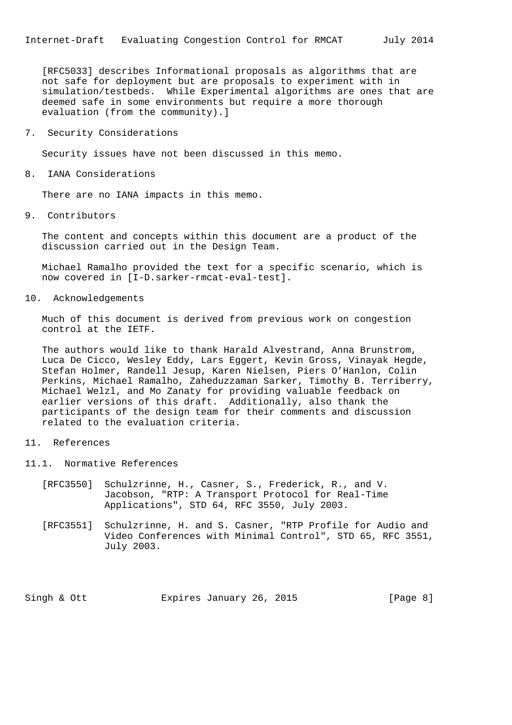[RFC5033] describes Informational proposals as algorithms that are not safe for deployment but are proposals to experiment with in simulation/testbeds. While Experimental algorithms are ones that are deemed safe in some environments but require a more thorough evaluation (from the community).]

7. Security Considerations

Security issues have not been discussed in this memo.

8. IANA Considerations

There are no IANA impacts in this memo.

9. Contributors

 The content and concepts within this document are a product of the discussion carried out in the Design Team.

 Michael Ramalho provided the text for a specific scenario, which is now covered in [I-D.sarker-rmcat-eval-test].

10. Acknowledgements

 Much of this document is derived from previous work on congestion control at the IETF.

 The authors would like to thank Harald Alvestrand, Anna Brunstrom, Luca De Cicco, Wesley Eddy, Lars Eggert, Kevin Gross, Vinayak Hegde, Stefan Holmer, Randell Jesup, Karen Nielsen, Piers O'Hanlon, Colin Perkins, Michael Ramalho, Zaheduzzaman Sarker, Timothy B. Terriberry, Michael Welzl, and Mo Zanaty for providing valuable feedback on earlier versions of this draft. Additionally, also thank the participants of the design team for their comments and discussion related to the evaluation criteria.

- 11. References
- 11.1. Normative References
	- [RFC3550] Schulzrinne, H., Casner, S., Frederick, R., and V. Jacobson, "RTP: A Transport Protocol for Real-Time Applications", STD 64, RFC 3550, July 2003.
	- [RFC3551] Schulzrinne, H. and S. Casner, "RTP Profile for Audio and Video Conferences with Minimal Control", STD 65, RFC 3551, July 2003.

Singh & Ott **Expires January 26, 2015** [Page 8]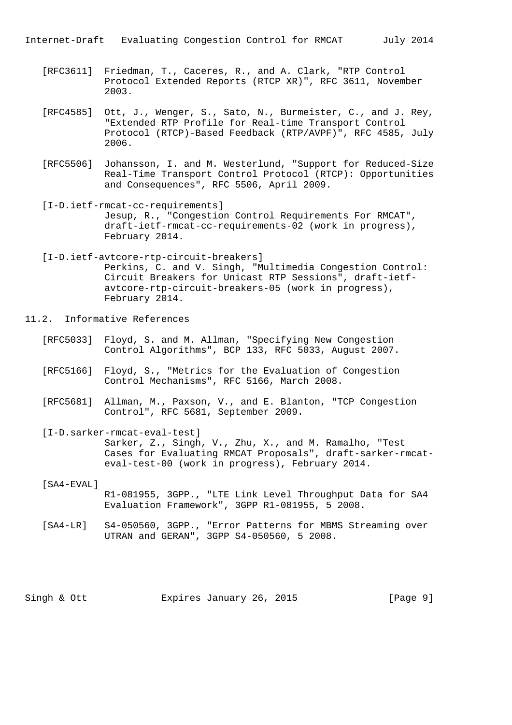- [RFC3611] Friedman, T., Caceres, R., and A. Clark, "RTP Control Protocol Extended Reports (RTCP XR)", RFC 3611, November 2003.
- [RFC4585] Ott, J., Wenger, S., Sato, N., Burmeister, C., and J. Rey, "Extended RTP Profile for Real-time Transport Control Protocol (RTCP)-Based Feedback (RTP/AVPF)", RFC 4585, July 2006.
- [RFC5506] Johansson, I. and M. Westerlund, "Support for Reduced-Size Real-Time Transport Control Protocol (RTCP): Opportunities and Consequences", RFC 5506, April 2009.
- [I-D.ietf-rmcat-cc-requirements] Jesup, R., "Congestion Control Requirements For RMCAT", draft-ietf-rmcat-cc-requirements-02 (work in progress), February 2014.
- [I-D.ietf-avtcore-rtp-circuit-breakers] Perkins, C. and V. Singh, "Multimedia Congestion Control: Circuit Breakers for Unicast RTP Sessions", draft-ietf avtcore-rtp-circuit-breakers-05 (work in progress), February 2014.
- 11.2. Informative References
	- [RFC5033] Floyd, S. and M. Allman, "Specifying New Congestion Control Algorithms", BCP 133, RFC 5033, August 2007.
	- [RFC5166] Floyd, S., "Metrics for the Evaluation of Congestion Control Mechanisms", RFC 5166, March 2008.
	- [RFC5681] Allman, M., Paxson, V., and E. Blanton, "TCP Congestion Control", RFC 5681, September 2009.
	- [I-D.sarker-rmcat-eval-test] Sarker, Z., Singh, V., Zhu, X., and M. Ramalho, "Test Cases for Evaluating RMCAT Proposals", draft-sarker-rmcat eval-test-00 (work in progress), February 2014.
	- [SA4-EVAL] R1-081955, 3GPP., "LTE Link Level Throughput Data for SA4 Evaluation Framework", 3GPP R1-081955, 5 2008.
	- [SA4-LR] S4-050560, 3GPP., "Error Patterns for MBMS Streaming over UTRAN and GERAN", 3GPP S4-050560, 5 2008.

Singh & Ott **Expires January 26, 2015** [Page 9]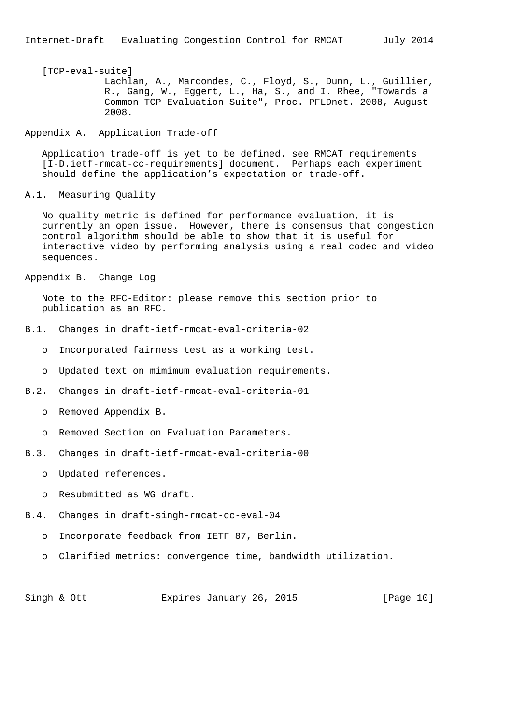# [TCP-eval-suite]

 Lachlan, A., Marcondes, C., Floyd, S., Dunn, L., Guillier, R., Gang, W., Eggert, L., Ha, S., and I. Rhee, "Towards a Common TCP Evaluation Suite", Proc. PFLDnet. 2008, August 2008.

### Appendix A. Application Trade-off

 Application trade-off is yet to be defined. see RMCAT requirements [I-D.ietf-rmcat-cc-requirements] document. Perhaps each experiment should define the application's expectation or trade-off.

A.1. Measuring Quality

 No quality metric is defined for performance evaluation, it is currently an open issue. However, there is consensus that congestion control algorithm should be able to show that it is useful for interactive video by performing analysis using a real codec and video sequences.

Appendix B. Change Log

 Note to the RFC-Editor: please remove this section prior to publication as an RFC.

- B.1. Changes in draft-ietf-rmcat-eval-criteria-02
	- o Incorporated fairness test as a working test.
	- o Updated text on mimimum evaluation requirements.
- B.2. Changes in draft-ietf-rmcat-eval-criteria-01
	- o Removed Appendix B.
	- o Removed Section on Evaluation Parameters.
- B.3. Changes in draft-ietf-rmcat-eval-criteria-00
	- o Updated references.
	- o Resubmitted as WG draft.
- B.4. Changes in draft-singh-rmcat-cc-eval-04
	- o Incorporate feedback from IETF 87, Berlin.
	- o Clarified metrics: convergence time, bandwidth utilization.

Singh & Ott Expires January 26, 2015 [Page 10]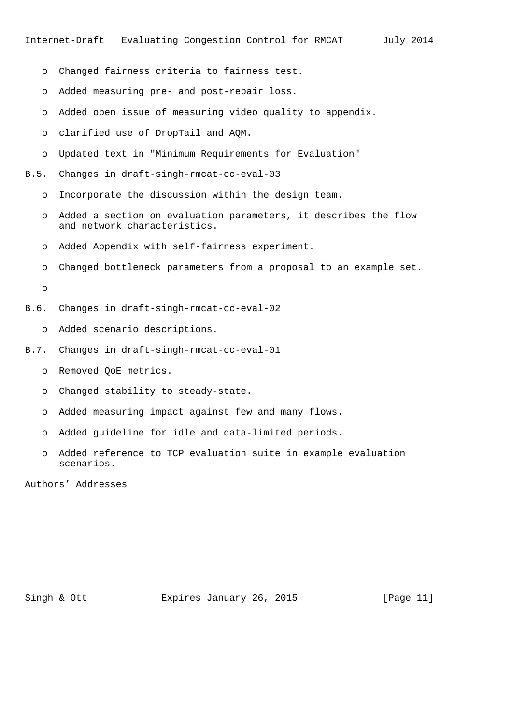- o Changed fairness criteria to fairness test.
- o Added measuring pre- and post-repair loss.
- o Added open issue of measuring video quality to appendix.
- o clarified use of DropTail and AQM.
- o Updated text in "Minimum Requirements for Evaluation"
- B.5. Changes in draft-singh-rmcat-cc-eval-03
	- o Incorporate the discussion within the design team.
	- o Added a section on evaluation parameters, it describes the flow and network characteristics.
	- o Added Appendix with self-fairness experiment.
	- o Changed bottleneck parameters from a proposal to an example set.

o

- B.6. Changes in draft-singh-rmcat-cc-eval-02
	- o Added scenario descriptions.
- B.7. Changes in draft-singh-rmcat-cc-eval-01
	- o Removed QoE metrics.
	- o Changed stability to steady-state.
	- o Added measuring impact against few and many flows.
	- o Added guideline for idle and data-limited periods.
	- o Added reference to TCP evaluation suite in example evaluation scenarios.

Authors' Addresses

Singh & Ott Expires January 26, 2015 [Page 11]